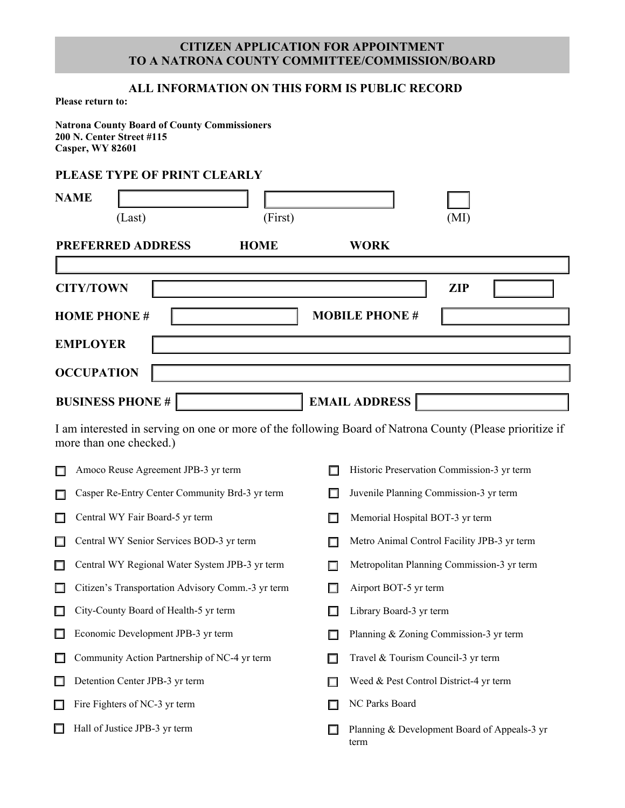## **CITIZEN APPLICATION FOR APPOINTMENT TO A NATRONA COUNTY COMMITTEE/COMMISSION/BOARD**

## **ALL INFORMATION ON THIS FORM IS PUBLIC RECORD**

**Please return to:**

**Natrona County Board of County Commissioners 200 N. Center Street #115 Casper, WY 82601** 

## **PLEASE TYPE OF PRINT CLEARLY**

|                                                 | <b>NAME</b><br>(Last)                                                                                                               | (First) |   | (MI)                                                 |  |  |  |  |  |  |  |  |
|-------------------------------------------------|-------------------------------------------------------------------------------------------------------------------------------------|---------|---|------------------------------------------------------|--|--|--|--|--|--|--|--|
|                                                 | <b>PREFERRED ADDRESS</b><br><b>HOME</b><br><b>WORK</b>                                                                              |         |   |                                                      |  |  |  |  |  |  |  |  |
| <b>CITY/TOWN</b><br><b>ZIP</b>                  |                                                                                                                                     |         |   |                                                      |  |  |  |  |  |  |  |  |
|                                                 | <b>HOME PHONE#</b>                                                                                                                  |         |   | <b>MOBILE PHONE #</b>                                |  |  |  |  |  |  |  |  |
| <b>EMPLOYER</b>                                 |                                                                                                                                     |         |   |                                                      |  |  |  |  |  |  |  |  |
|                                                 | <b>OCCUPATION</b>                                                                                                                   |         |   |                                                      |  |  |  |  |  |  |  |  |
| <b>BUSINESS PHONE #</b><br><b>EMAIL ADDRESS</b> |                                                                                                                                     |         |   |                                                      |  |  |  |  |  |  |  |  |
|                                                 | I am interested in serving on one or more of the following Board of Natrona County (Please prioritize if<br>more than one checked.) |         |   |                                                      |  |  |  |  |  |  |  |  |
| $\Box$                                          | Amoco Reuse Agreement JPB-3 yr term                                                                                                 |         |   | Historic Preservation Commission-3 yr term           |  |  |  |  |  |  |  |  |
| $\Box$                                          | Casper Re-Entry Center Community Brd-3 yr term                                                                                      |         |   | Juvenile Planning Commission-3 yr term               |  |  |  |  |  |  |  |  |
| $\Box$                                          | Central WY Fair Board-5 yr term                                                                                                     |         | ш | Memorial Hospital BOT-3 yr term                      |  |  |  |  |  |  |  |  |
| $\Box$                                          | Central WY Senior Services BOD-3 yr term                                                                                            |         |   | Metro Animal Control Facility JPB-3 yr term          |  |  |  |  |  |  |  |  |
| $\Box$                                          | Central WY Regional Water System JPB-3 yr term                                                                                      |         | П | Metropolitan Planning Commission-3 yr term           |  |  |  |  |  |  |  |  |
| $\Box$                                          | Citizen's Transportation Advisory Comm.-3 yr term                                                                                   |         | ш | Airport BOT-5 yr term                                |  |  |  |  |  |  |  |  |
| $\Box$                                          | City-County Board of Health-5 yr term                                                                                               |         |   | Library Board-3 yr term                              |  |  |  |  |  |  |  |  |
|                                                 | Economic Development JPB-3 yr term                                                                                                  |         |   | Planning & Zoning Commission-3 yr term               |  |  |  |  |  |  |  |  |
| $\Box$                                          | Community Action Partnership of NC-4 yr term                                                                                        |         | ш | Travel & Tourism Council-3 yr term                   |  |  |  |  |  |  |  |  |
| $\Box$                                          | Detention Center JPB-3 yr term                                                                                                      |         | □ | Weed & Pest Control District-4 yr term               |  |  |  |  |  |  |  |  |
| $\Box$                                          | Fire Fighters of NC-3 yr term                                                                                                       |         | ш | NC Parks Board                                       |  |  |  |  |  |  |  |  |
| $\Box$                                          | Hall of Justice JPB-3 yr term                                                                                                       |         |   | Planning & Development Board of Appeals-3 yr<br>term |  |  |  |  |  |  |  |  |